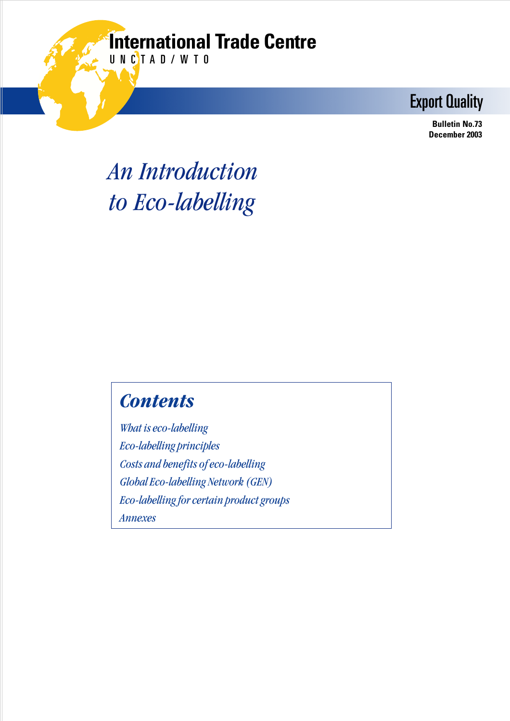## **International Trade Centre**

UNCTAD/WTO

Export Quality

 **Bulletin No.73 December 2003**

## *An Introduction to Eco-labelling*

### *Contents*

*What is eco-labelling Eco-labelling principles Costs and benefits of eco-labelling Global Eco-labelling Network (GEN) Eco-labelling for certain product groups Annexes*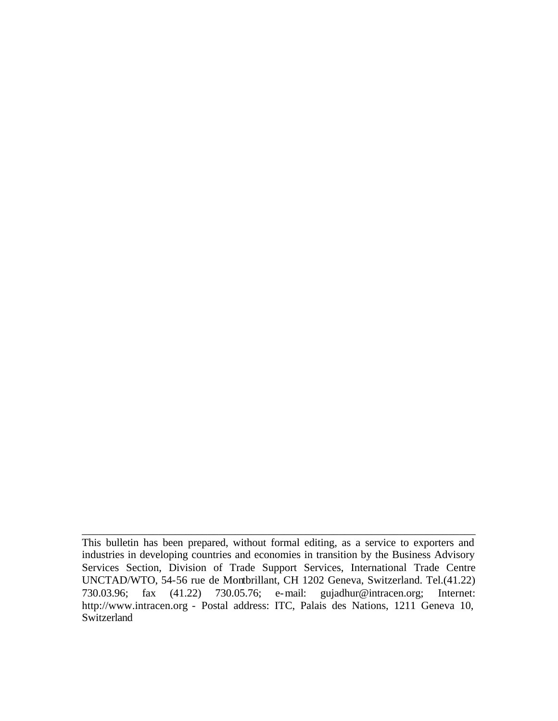This bulletin has been prepared, without formal editing, as a service to exporters and industries in developing countries and economies in transition by the Business Advisory Services Section, Division of Trade Support Services, International Trade Centre UNCTAD/WTO, 54-56 rue de Montbrillant, CH 1202 Geneva, Switzerland. Tel.(41.22)<br>730.03.96; fax (41.22) 730.05.76; e-mail: gujadhur@intracen.org; Internet: 730.03.96; fax (41.22) 730.05.76; e-mail: gujadhur@intracen.org; Internet: http://www.intracen.org - Postal address: ITC, Palais des Nations, 1211 Geneva 10, Switzerland

\_\_\_\_\_\_\_\_\_\_\_\_\_\_\_\_\_\_\_\_\_\_\_\_\_\_\_\_\_\_\_\_\_\_\_\_\_\_\_\_\_\_\_\_\_\_\_\_\_\_\_\_\_\_\_\_\_\_\_\_\_\_\_\_\_\_\_\_\_\_\_\_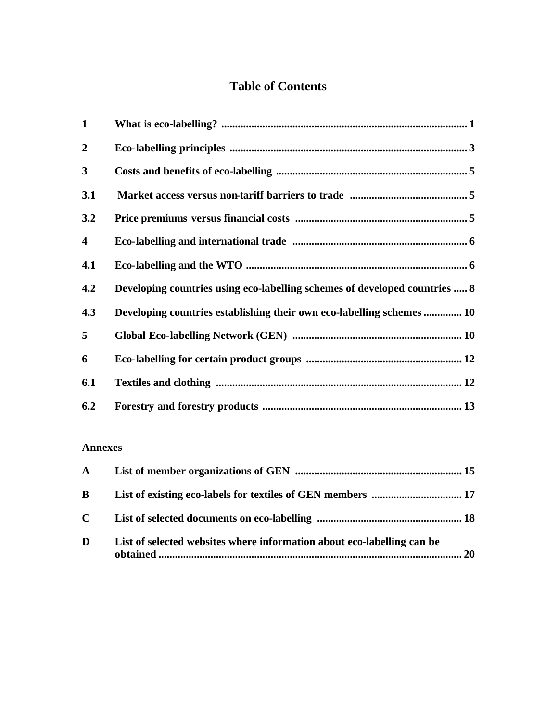#### **Table of Contents**

| $\mathbf{1}$            |                                                                            |
|-------------------------|----------------------------------------------------------------------------|
| $\overline{2}$          |                                                                            |
| $\mathbf{3}$            |                                                                            |
| 3.1                     |                                                                            |
| 3.2                     |                                                                            |
| $\overline{\mathbf{4}}$ |                                                                            |
| 4.1                     |                                                                            |
| 4.2                     | Developing countries using eco-labelling schemes of developed countries  8 |
| 4.3                     | Developing countries establishing their own eco-labelling schemes  10      |
| 5                       |                                                                            |
| 6                       |                                                                            |
| 6.1                     |                                                                            |
| 6.2                     |                                                                            |

#### **Annexes**

| $\mathbf{B}$ |                                                                        |  |
|--------------|------------------------------------------------------------------------|--|
| $\mathbf{C}$ |                                                                        |  |
| D            | List of selected websites where information about eco-labelling can be |  |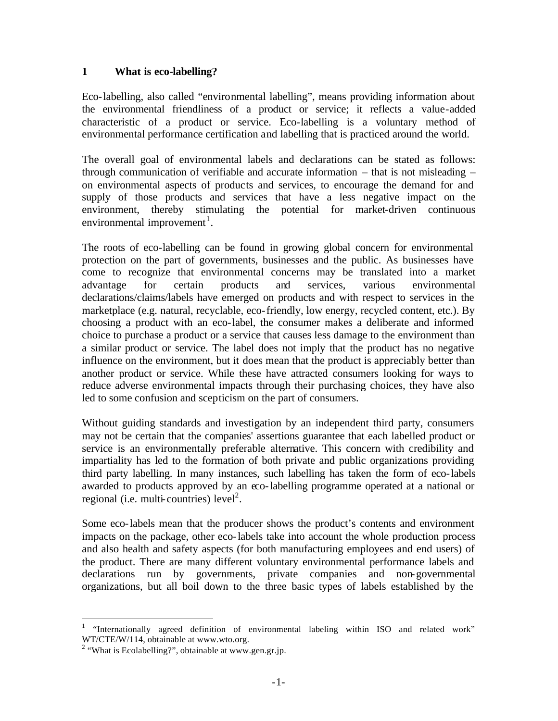#### **1 What is eco-labelling?**

Eco-labelling, also called "environmental labelling", means providing information about the environmental friendliness of a product or service; it reflects a value-added characteristic of a product or service. Eco-labelling is a voluntary method of environmental performance certification and labelling that is practiced around the world.

The overall goal of environmental labels and declarations can be stated as follows: through communication of verifiable and accurate information – that is not misleading – on environmental aspects of products and services, to encourage the demand for and supply of those products and services that have a less negative impact on the environment, thereby stimulating the potential for market-driven continuous environmental improvement<sup>1</sup>.

The roots of eco-labelling can be found in growing global concern for environmental protection on the part of governments, businesses and the public. As businesses have come to recognize that environmental concerns may be translated into a market advantage for certain products and services, various environmental declarations/claims/labels have emerged on products and with respect to services in the marketplace (e.g. natural, recyclable, eco-friendly, low energy, recycled content, etc.). By choosing a product with an eco-label, the consumer makes a deliberate and informed choice to purchase a product or a service that causes less damage to the environment than a similar product or service. The label does not imply that the product has no negative influence on the environment, but it does mean that the product is appreciably better than another product or service. While these have attracted consumers looking for ways to reduce adverse environmental impacts through their purchasing choices, they have also led to some confusion and scepticism on the part of consumers.

Without guiding standards and investigation by an independent third party, consumers may not be certain that the companies' assertions guarantee that each labelled product or service is an environmentally preferable alternative. This concern with credibility and impartiality has led to the formation of both private and public organizations providing third party labelling. In many instances, such labelling has taken the form of eco-labels awarded to products approved by an eco-labelling programme operated at a national or regional (i.e. multi-countries)  $level<sup>2</sup>$ .

Some eco-labels mean that the producer shows the product's contents and environment impacts on the package, other eco-labels take into account the whole production process and also health and safety aspects (for both manufacturing employees and end users) of the product. There are many different voluntary environmental performance labels and declarations run by governments, private companies and non-governmental organizations, but all boil down to the three basic types of labels established by the

<sup>1</sup> "Internationally agreed definition of environmental labeling within ISO and related work" WT/CTE/W/114, obtainable at www.wto.org.

<sup>&</sup>lt;sup>2</sup> "What is Ecolabelling?", obtainable at www.gen.gr.jp.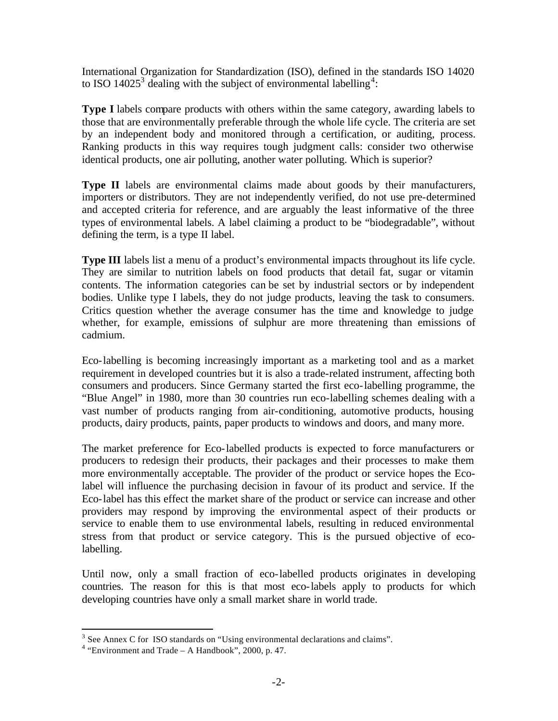International Organization for Standardization (ISO), defined in the standards ISO 14020 to ISO 14025<sup>3</sup> dealing with the subject of environmental labelling<sup>4</sup>:

**Type I** labels compare products with others within the same category, awarding labels to those that are environmentally preferable through the whole life cycle. The criteria are set by an independent body and monitored through a certification, or auditing, process. Ranking products in this way requires tough judgment calls: consider two otherwise identical products, one air polluting, another water polluting. Which is superior?

**Type II** labels are environmental claims made about goods by their manufacturers, importers or distributors. They are not independently verified, do not use pre-determined and accepted criteria for reference, and are arguably the least informative of the three types of environmental labels. A label claiming a product to be "biodegradable", without defining the term, is a type II label.

**Type III** labels list a menu of a product's environmental impacts throughout its life cycle. They are similar to nutrition labels on food products that detail fat, sugar or vitamin contents. The information categories can be set by industrial sectors or by independent bodies. Unlike type I labels, they do not judge products, leaving the task to consumers. Critics question whether the average consumer has the time and knowledge to judge whether, for example, emissions of sulphur are more threatening than emissions of cadmium.

Eco-labelling is becoming increasingly important as a marketing tool and as a market requirement in developed countries but it is also a trade-related instrument, affecting both consumers and producers. Since Germany started the first eco-labelling programme, the "Blue Angel" in 1980, more than 30 countries run eco-labelling schemes dealing with a vast number of products ranging from air-conditioning, automotive products, housing products, dairy products, paints, paper products to windows and doors, and many more.

The market preference for Eco-labelled products is expected to force manufacturers or producers to redesign their products, their packages and their processes to make them more environmentally acceptable. The provider of the product or service hopes the Ecolabel will influence the purchasing decision in favour of its product and service. If the Eco-label has this effect the market share of the product or service can increase and other providers may respond by improving the environmental aspect of their products or service to enable them to use environmental labels, resulting in reduced environmental stress from that product or service category. This is the pursued objective of ecolabelling.

Until now, only a small fraction of eco-labelled products originates in developing countries. The reason for this is that most eco-labels apply to products for which developing countries have only a small market share in world trade.

 $3$  See Annex C for ISO standards on "Using environmental declarations and claims".

 $4$  "Environment and Trade – A Handbook", 2000, p. 47.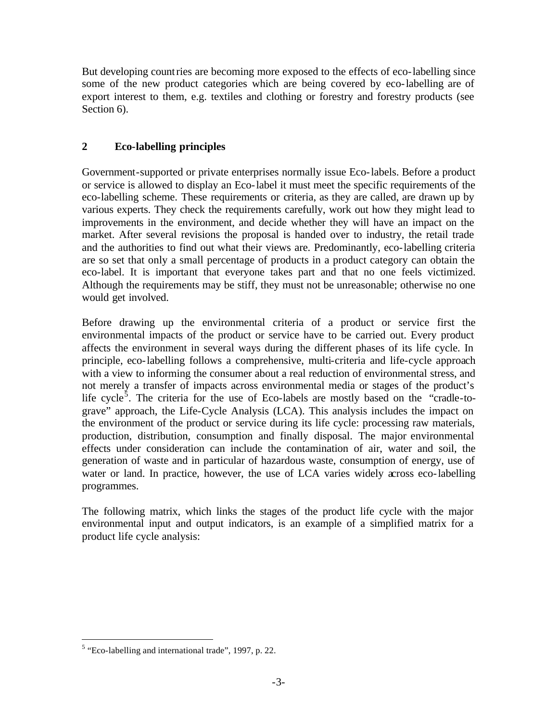But developing countries are becoming more exposed to the effects of eco-labelling since some of the new product categories which are being covered by eco-labelling are of export interest to them, e.g. textiles and clothing or forestry and forestry products (see Section 6).

#### **2 Eco-labelling principles**

Government-supported or private enterprises normally issue Eco-labels. Before a product or service is allowed to display an Eco-label it must meet the specific requirements of the eco-labelling scheme. These requirements or criteria, as they are called, are drawn up by various experts. They check the requirements carefully, work out how they might lead to improvements in the environment, and decide whether they will have an impact on the market. After several revisions the proposal is handed over to industry, the retail trade and the authorities to find out what their views are. Predominantly, eco-labelling criteria are so set that only a small percentage of products in a product category can obtain the eco-label. It is important that everyone takes part and that no one feels victimized. Although the requirements may be stiff, they must not be unreasonable; otherwise no one would get involved.

Before drawing up the environmental criteria of a product or service first the environmental impacts of the product or service have to be carried out. Every product affects the environment in several ways during the different phases of its life cycle. In principle, eco-labelling follows a comprehensive, multi-criteria and life-cycle approach with a view to informing the consumer about a real reduction of environmental stress, and not merely a transfer of impacts across environmental media or stages of the product's life cycle<sup>5</sup>. The criteria for the use of Eco-labels are mostly based on the "cradle-tograve" approach, the Life-Cycle Analysis (LCA). This analysis includes the impact on the environment of the product or service during its life cycle: processing raw materials, production, distribution, consumption and finally disposal. The major environmental effects under consideration can include the contamination of air, water and soil, the generation of waste and in particular of hazardous waste, consumption of energy, use of water or land. In practice, however, the use of LCA varies widely across eco-labelling programmes.

The following matrix, which links the stages of the product life cycle with the major environmental input and output indicators, is an example of a simplified matrix for a product life cycle analysis:

<sup>&</sup>lt;sup>5</sup> "Eco-labelling and international trade", 1997, p. 22.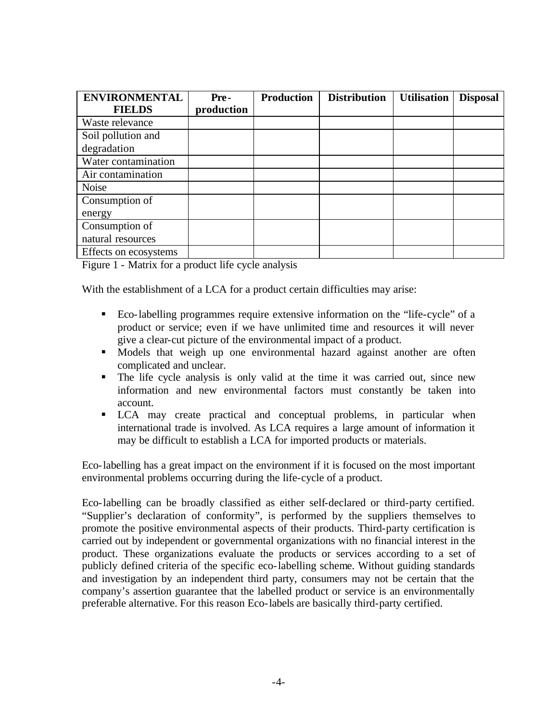| <b>ENVIRONMENTAL</b>  | Pre-       | <b>Production</b> | <b>Distribution</b> | <b>Utilisation</b> | <b>Disposal</b> |
|-----------------------|------------|-------------------|---------------------|--------------------|-----------------|
| <b>FIELDS</b>         | production |                   |                     |                    |                 |
| Waste relevance       |            |                   |                     |                    |                 |
| Soil pollution and    |            |                   |                     |                    |                 |
| degradation           |            |                   |                     |                    |                 |
| Water contamination   |            |                   |                     |                    |                 |
| Air contamination     |            |                   |                     |                    |                 |
| <b>Noise</b>          |            |                   |                     |                    |                 |
| Consumption of        |            |                   |                     |                    |                 |
| energy                |            |                   |                     |                    |                 |
| Consumption of        |            |                   |                     |                    |                 |
| natural resources     |            |                   |                     |                    |                 |
| Effects on ecosystems |            |                   |                     |                    |                 |

Figure 1 - Matrix for a product life cycle analysis

With the establishment of a LCA for a product certain difficulties may arise:

- ß Eco-labelling programmes require extensive information on the "life-cycle" of a product or service; even if we have unlimited time and resources it will never give a clear-cut picture of the environmental impact of a product.
- **•** Models that weigh up one environmental hazard against another are often complicated and unclear.
- The life cycle analysis is only valid at the time it was carried out, since new information and new environmental factors must constantly be taken into account.
- ß LCA may create practical and conceptual problems, in particular when international trade is involved. As LCA requires a large amount of information it may be difficult to establish a LCA for imported products or materials.

Eco-labelling has a great impact on the environment if it is focused on the most important environmental problems occurring during the life-cycle of a product.

Eco-labelling can be broadly classified as either self-declared or third-party certified. "Supplier's declaration of conformity", is performed by the suppliers themselves to promote the positive environmental aspects of their products. Third-party certification is carried out by independent or governmental organizations with no financial interest in the product. These organizations evaluate the products or services according to a set of publicly defined criteria of the specific eco-labelling scheme. Without guiding standards and investigation by an independent third party, consumers may not be certain that the company's assertion guarantee that the labelled product or service is an environmentally preferable alternative. For this reason Eco-labels are basically third-party certified.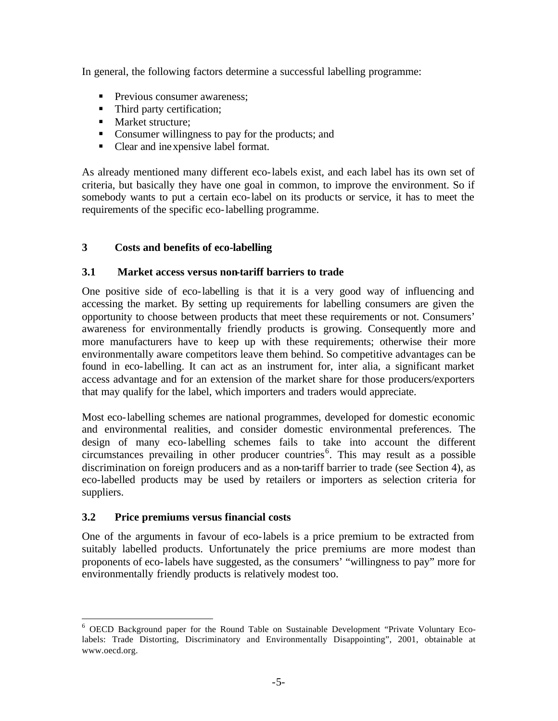In general, the following factors determine a successful labelling programme:

- **Previous consumer awareness:**
- Third party certification;
- Market structure:
- Consumer willingness to pay for the products; and
- Clear and inexpensive label format.

As already mentioned many different eco-labels exist, and each label has its own set of criteria, but basically they have one goal in common, to improve the environment. So if somebody wants to put a certain eco-label on its products or service, it has to meet the requirements of the specific eco-labelling programme.

#### **3 Costs and benefits of eco-labelling**

#### **3.1 Market access versus non-tariff barriers to trade**

One positive side of eco-labelling is that it is a very good way of influencing and accessing the market. By setting up requirements for labelling consumers are given the opportunity to choose between products that meet these requirements or not. Consumers' awareness for environmentally friendly products is growing. Consequently more and more manufacturers have to keep up with these requirements; otherwise their more environmentally aware competitors leave them behind. So competitive advantages can be found in eco-labelling. It can act as an instrument for, inter alia, a significant market access advantage and for an extension of the market share for those producers/exporters that may qualify for the label, which importers and traders would appreciate.

Most eco-labelling schemes are national programmes, developed for domestic economic and environmental realities, and consider domestic environmental preferences. The design of many eco-labelling schemes fails to take into account the different circumstances prevailing in other producer countries<sup>6</sup>. This may result as a possible discrimination on foreign producers and as a non-tariff barrier to trade (see Section 4), as eco-labelled products may be used by retailers or importers as selection criteria for suppliers.

#### **3.2 Price premiums versus financial costs**

 $\overline{a}$ 

One of the arguments in favour of eco-labels is a price premium to be extracted from suitably labelled products. Unfortunately the price premiums are more modest than proponents of eco-labels have suggested, as the consumers' "willingness to pay" more for environmentally friendly products is relatively modest too.

<sup>&</sup>lt;sup>6</sup> OECD Background paper for the Round Table on Sustainable Development "Private Voluntary Ecolabels: Trade Distorting, Discriminatory and Environmentally Disappointing", 2001, obtainable at www.oecd.org.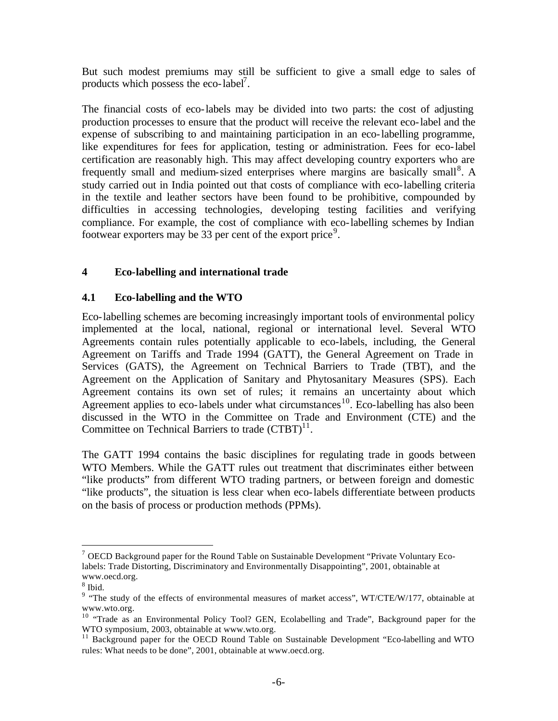But such modest premiums may still be sufficient to give a small edge to sales of products which possess the eco-label<sup>7</sup>.

The financial costs of eco-labels may be divided into two parts: the cost of adjusting production processes to ensure that the product will receive the relevant eco-label and the expense of subscribing to and maintaining participation in an eco-labelling programme, like expenditures for fees for application, testing or administration. Fees for eco-label certification are reasonably high. This may affect developing country exporters who are frequently small and medium-sized enterprises where margins are basically small<sup>8</sup>. A study carried out in India pointed out that costs of compliance with eco-labelling criteria in the textile and leather sectors have been found to be prohibitive, compounded by difficulties in accessing technologies, developing testing facilities and verifying compliance. For example, the cost of compliance with eco-labelling schemes by Indian footwear exporters may be 33 per cent of the export price<sup>9</sup>.

#### **4 Eco-labelling and international trade**

#### **4.1 Eco-labelling and the WTO**

Eco-labelling schemes are becoming increasingly important tools of environmental policy implemented at the local, national, regional or international level. Several WTO Agreements contain rules potentially applicable to eco-labels, including, the General Agreement on Tariffs and Trade 1994 (GATT), the General Agreement on Trade in Services (GATS), the Agreement on Technical Barriers to Trade (TBT), and the Agreement on the Application of Sanitary and Phytosanitary Measures (SPS). Each Agreement contains its own set of rules; it remains an uncertainty about which Agreement applies to eco-labels under what circumstances<sup>10</sup>. Eco-labelling has also been discussed in the WTO in the Committee on Trade and Environment (CTE) and the Committee on Technical Barriers to trade  $(CTBT)^{11}$ .

The GATT 1994 contains the basic disciplines for regulating trade in goods between WTO Members. While the GATT rules out treatment that discriminates either between "like products" from different WTO trading partners, or between foreign and domestic "like products", the situation is less clear when eco-labels differentiate between products on the basis of process or production methods (PPMs).

 $<sup>7</sup>$  OECD Background paper for the Round Table on Sustainable Development "Private Voluntary Eco-</sup> labels: Trade Distorting, Discriminatory and Environmentally Disappointing", 2001, obtainable at www.oecd.org.

<sup>8</sup> Ibid.

<sup>&</sup>lt;sup>9</sup> "The study of the effects of environmental measures of market access", WT/CTE/W/177, obtainable at www.wto.org.

<sup>&</sup>lt;sup>10</sup> "Trade as an Environmental Policy Tool? GEN, Ecolabelling and Trade", Background paper for the WTO symposium, 2003, obtainable at www.wto.org.

<sup>&</sup>lt;sup>11</sup> Background paper for the OECD Round Table on Sustainable Development "Eco-labelling and WTO rules: What needs to be done", 2001, obtainable at www.oecd.org.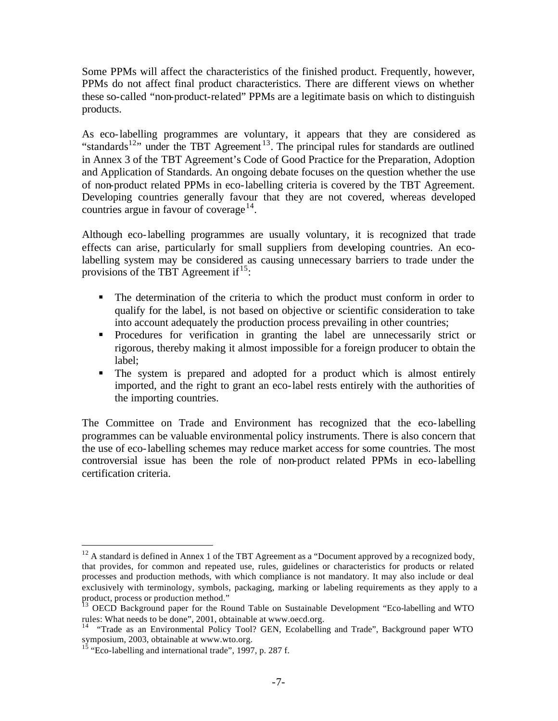Some PPMs will affect the characteristics of the finished product. Frequently, however, PPMs do not affect final product characteristics. There are different views on whether these so-called "non-product-related" PPMs are a legitimate basis on which to distinguish products.

As eco-labelling programmes are voluntary, it appears that they are considered as "standards<sup>12</sup>" under the TBT Agreement<sup>13</sup>. The principal rules for standards are outlined in Annex 3 of the TBT Agreement's Code of Good Practice for the Preparation, Adoption and Application of Standards. An ongoing debate focuses on the question whether the use of non-product related PPMs in eco-labelling criteria is covered by the TBT Agreement. Developing countries generally favour that they are not covered, whereas developed countries argue in favour of coverage $^{14}$ .

Although eco-labelling programmes are usually voluntary, it is recognized that trade effects can arise, particularly for small suppliers from developing countries. An ecolabelling system may be considered as causing unnecessary barriers to trade under the provisions of the TBT Agreement if  $15$ :

- The determination of the criteria to which the product must conform in order to qualify for the label, is not based on objective or scientific consideration to take into account adequately the production process prevailing in other countries;
- **•** Procedures for verification in granting the label are unnecessarily strict or rigorous, thereby making it almost impossible for a foreign producer to obtain the label;
- The system is prepared and adopted for a product which is almost entirely imported, and the right to grant an eco-label rests entirely with the authorities of the importing countries.

The Committee on Trade and Environment has recognized that the eco-labelling programmes can be valuable environmental policy instruments. There is also concern that the use of eco-labelling schemes may reduce market access for some countries. The most controversial issue has been the role of non-product related PPMs in eco-labelling certification criteria.

 $12$  A standard is defined in Annex 1 of the TBT Agreement as a "Document approved by a recognized body, that provides, for common and repeated use, rules, guidelines or characteristics for products or related processes and production methods, with which compliance is not mandatory. It may also include or deal exclusively with terminology, symbols, packaging, marking or labeling requirements as they apply to a product, process or production method."

<sup>&</sup>lt;sup>13</sup> OECD Background paper for the Round Table on Sustainable Development "Eco-labelling and WTO rules: What needs to be done", 2001, obtainable at www.oecd.org.

<sup>&</sup>lt;sup>14</sup> "Trade as an Environmental Policy Tool? GEN, Ecolabelling and Trade", Background paper WTO symposium, 2003, obtainable at www.wto.org.

 $15$  "Eco-labelling and international trade", 1997, p. 287 f.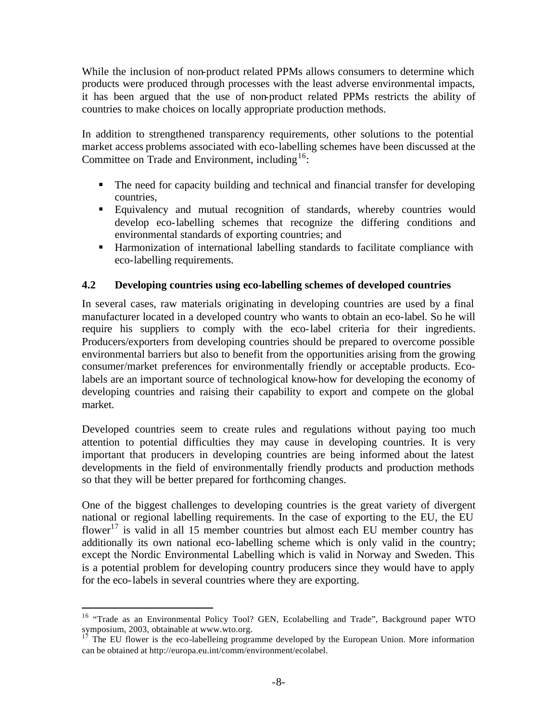While the inclusion of non-product related PPMs allows consumers to determine which products were produced through processes with the least adverse environmental impacts, it has been argued that the use of non-product related PPMs restricts the ability of countries to make choices on locally appropriate production methods.

In addition to strengthened transparency requirements, other solutions to the potential market access problems associated with eco-labelling schemes have been discussed at the Committee on Trade and Environment, including  $16$ :

- The need for capacity building and technical and financial transfer for developing countries,
- **Equivalency and mutual recognition of standards, whereby countries would** develop eco-labelling schemes that recognize the differing conditions and environmental standards of exporting countries; and
- ß Harmonization of international labelling standards to facilitate compliance with eco-labelling requirements.

#### **4.2 Developing countries using eco-labelling schemes of developed countries**

In several cases, raw materials originating in developing countries are used by a final manufacturer located in a developed country who wants to obtain an eco-label. So he will require his suppliers to comply with the eco-label criteria for their ingredients. Producers/exporters from developing countries should be prepared to overcome possible environmental barriers but also to benefit from the opportunities arising from the growing consumer/market preferences for environmentally friendly or acceptable products. Ecolabels are an important source of technological know-how for developing the economy of developing countries and raising their capability to export and compete on the global market.

Developed countries seem to create rules and regulations without paying too much attention to potential difficulties they may cause in developing countries. It is very important that producers in developing countries are being informed about the latest developments in the field of environmentally friendly products and production methods so that they will be better prepared for forthcoming changes.

One of the biggest challenges to developing countries is the great variety of divergent national or regional labelling requirements. In the case of exporting to the EU, the EU flower<sup>17</sup> is valid in all 15 member countries but almost each EU member country has additionally its own national eco-labelling scheme which is only valid in the country; except the Nordic Environmental Labelling which is valid in Norway and Sweden. This is a potential problem for developing country producers since they would have to apply for the eco-labels in several countries where they are exporting.

<sup>&</sup>lt;sup>16</sup> "Trade as an Environmental Policy Tool? GEN, Ecolabelling and Trade", Background paper WTO symposium, 2003, obtainable at www.wto.org.<br> $^{17}$  The FILE

The EU flower is the eco-labelleing programme developed by the European Union. More information can be obtained at http://europa.eu.int/comm/environment/ecolabel.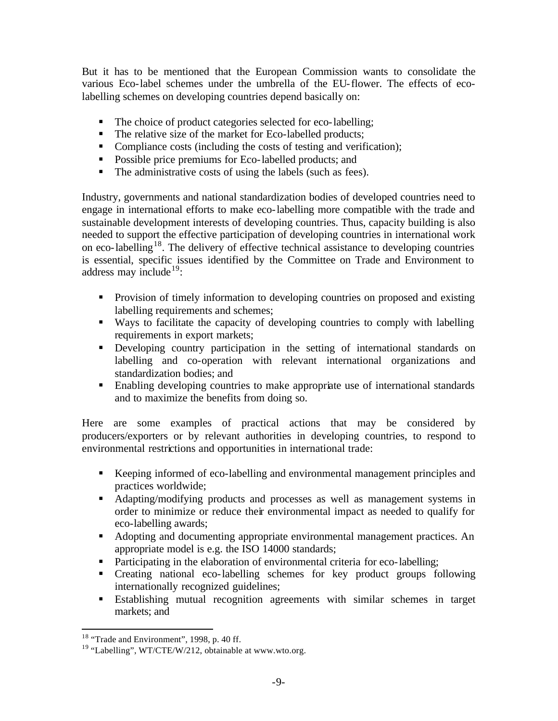But it has to be mentioned that the European Commission wants to consolidate the various Eco-label schemes under the umbrella of the EU-flower. The effects of ecolabelling schemes on developing countries depend basically on:

- The choice of product categories selected for eco-labelling;
- The relative size of the market for Eco-labelled products;
- Compliance costs (including the costs of testing and verification);
- **•** Possible price premiums for Eco-labelled products; and
- $\blacksquare$  The administrative costs of using the labels (such as fees).

Industry, governments and national standardization bodies of developed countries need to engage in international efforts to make eco-labelling more compatible with the trade and sustainable development interests of developing countries. Thus, capacity building is also needed to support the effective participation of developing countries in international work on eco-labelling<sup>18</sup>. The delivery of effective technical assistance to developing countries is essential, specific issues identified by the Committee on Trade and Environment to address may include<sup>19</sup>:

- **•** Provision of timely information to developing countries on proposed and existing labelling requirements and schemes;
- ß Ways to facilitate the capacity of developing countries to comply with labelling requirements in export markets;
- **•** Developing country participation in the setting of international standards on labelling and co-operation with relevant international organizations and standardization bodies; and
- **Enabling developing countries to make appropriate use of international standards** and to maximize the benefits from doing so.

Here are some examples of practical actions that may be considered by producers/exporters or by relevant authorities in developing countries, to respond to environmental restrictions and opportunities in international trade:

- Keeping informed of eco-labelling and environmental management principles and practices worldwide;
- ß Adapting/modifying products and processes as well as management systems in order to minimize or reduce their environmental impact as needed to qualify for eco-labelling awards;
- Adopting and documenting appropriate environmental management practices. An appropriate model is e.g. the ISO 14000 standards;
- Participating in the elaboration of environmental criteria for eco-labelling;
- ß Creating national eco-labelling schemes for key product groups following internationally recognized guidelines;
- ß Establishing mutual recognition agreements with similar schemes in target markets; and

 $18$  "Trade and Environment", 1998, p. 40 ff.

<sup>&</sup>lt;sup>19</sup> "Labelling", WT/CTE/W/212, obtainable at www.wto.org.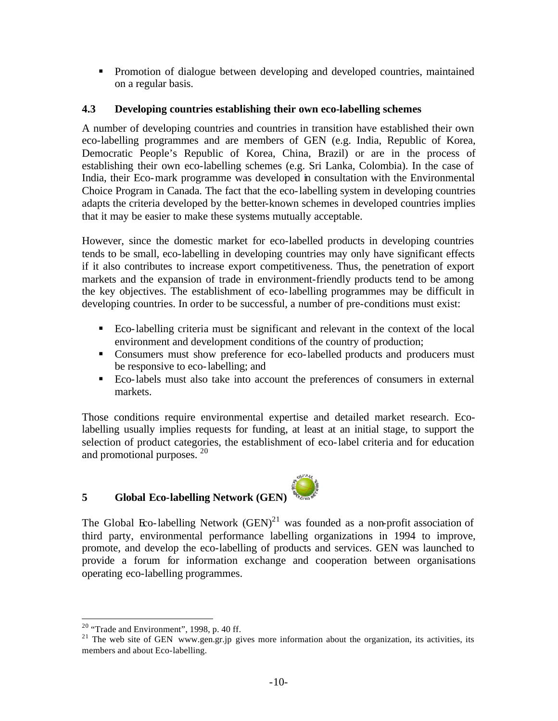• Promotion of dialogue between developing and developed countries, maintained on a regular basis.

#### **4.3 Developing countries establishing their own eco-labelling schemes**

A number of developing countries and countries in transition have established their own eco-labelling programmes and are members of GEN (e.g. India, Republic of Korea, Democratic People's Republic of Korea, China, Brazil) or are in the process of establishing their own eco-labelling schemes (e.g. Sri Lanka, Colombia). In the case of India, their Eco-mark programme was developed in consultation with the Environmental Choice Program in Canada. The fact that the eco-labelling system in developing countries adapts the criteria developed by the better-known schemes in developed countries implies that it may be easier to make these systems mutually acceptable.

However, since the domestic market for eco-labelled products in developing countries tends to be small, eco-labelling in developing countries may only have significant effects if it also contributes to increase export competitiveness. Thus, the penetration of export markets and the expansion of trade in environment-friendly products tend to be among the key objectives. The establishment of eco-labelling programmes may be difficult in developing countries. In order to be successful, a number of pre-conditions must exist:

- ß Eco-labelling criteria must be significant and relevant in the context of the local environment and development conditions of the country of production;
- Consumers must show preference for eco-labelled products and producers must be responsive to eco-labelling; and
- ß Eco-labels must also take into account the preferences of consumers in external markets.

Those conditions require environmental expertise and detailed market research. Ecolabelling usually implies requests for funding, at least at an initial stage, to support the selection of product categories, the establishment of eco-label criteria and for education and promotional purposes. <sup>20</sup>

#### **5 Global Eco-labelling Network (GEN)**



The Global Eco-labelling Network  $(GEN)^{21}$  was founded as a non-profit association of third party, environmental performance labelling organizations in 1994 to improve, promote, and develop the eco-labelling of products and services. GEN was launched to provide a forum for information exchange and cooperation between organisations operating eco-labelling programmes.

 $20$  "Trade and Environment", 1998, p. 40 ff.

<sup>&</sup>lt;sup>21</sup> The web site of GEN www.gen.gr.jp gives more information about the organization, its activities, its members and about Eco-labelling.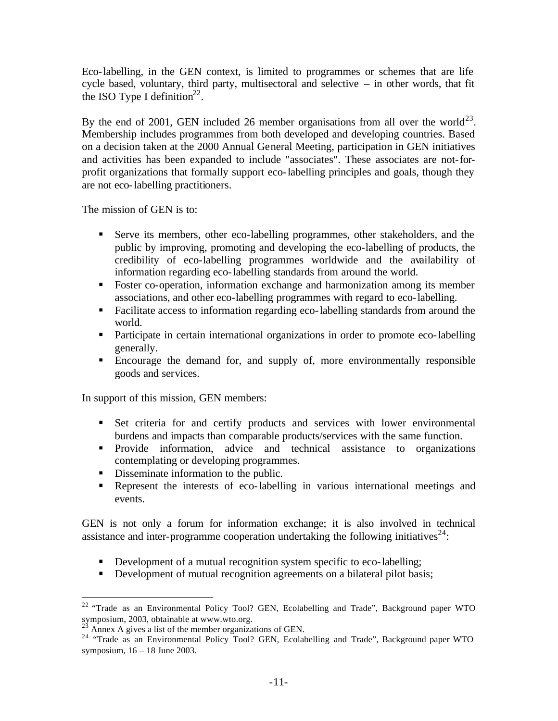Eco-labelling, in the GEN context, is limited to programmes or schemes that are life cycle based, voluntary, third party, multisectoral and selective – in other words, that fit the ISO Type I definition<sup>22</sup>.

By the end of 2001, GEN included 26 member organisations from all over the world<sup>23</sup>. Membership includes programmes from both developed and developing countries. Based on a decision taken at the 2000 Annual General Meeting, participation in GEN initiatives and activities has been expanded to include "associates". These associates are not-forprofit organizations that formally support eco-labelling principles and goals, though they are not eco-labelling practitioners.

The mission of GEN is to:

- ß Serve its members, other eco-labelling programmes, other stakeholders, and the public by improving, promoting and developing the eco-labelling of products, the credibility of eco-labelling programmes worldwide and the availability of information regarding eco-labelling standards from around the world.
- Foster co-operation, information exchange and harmonization among its member associations, and other eco-labelling programmes with regard to eco-labelling.
- **Facilitate access to information regarding eco-labelling standards from around the** world.
- Participate in certain international organizations in order to promote eco-labelling generally.
- ß Encourage the demand for, and supply of, more environmentally responsible goods and services.

In support of this mission, GEN members:

- ß Set criteria for and certify products and services with lower environmental burdens and impacts than comparable products/services with the same function.
- Provide information, advice and technical assistance to organizations contemplating or developing programmes.
- Disseminate information to the public.
- Represent the interests of eco-labelling in various international meetings and events.

GEN is not only a forum for information exchange; it is also involved in technical assistance and inter-programme cooperation undertaking the following initiatives<sup>24</sup>:

- Development of a mutual recognition system specific to eco-labelling;
- Development of mutual recognition agreements on a bilateral pilot basis;

 $22$  "Trade as an Environmental Policy Tool? GEN, Ecolabelling and Trade", Background paper WTO symposium, 2003, obtainable at www.wto.org.

Annex A gives a list of the member organizations of GEN.

<sup>&</sup>lt;sup>24</sup> "Trade as an Environmental Policy Tool? GEN, Ecolabelling and Trade", Background paper WTO symposium, 16 – 18 June 2003.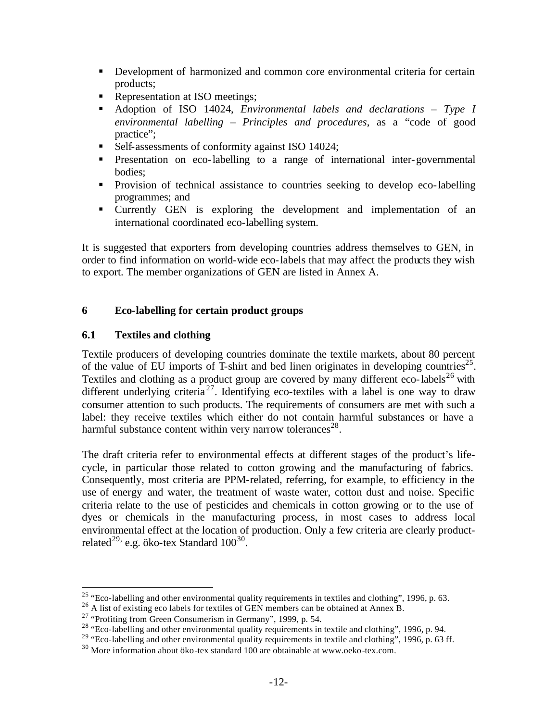- **•** Development of harmonized and common core environmental criteria for certain products;
- Representation at ISO meetings;
- ß Adoption of ISO 14024, *Environmental labels and declarations Type I environmental labelling – Principles and procedures*, as a "code of good practice";
- Self-assessments of conformity against ISO 14024;
- **•** Presentation on eco-labelling to a range of international inter-governmental bodies;
- **•** Provision of technical assistance to countries seeking to develop eco-labelling programmes; and
- ß Currently GEN is exploring the development and implementation of an international coordinated eco-labelling system.

It is suggested that exporters from developing countries address themselves to GEN, in order to find information on world-wide eco-labels that may affect the products they wish to export. The member organizations of GEN are listed in Annex A.

#### **6 Eco-labelling for certain product groups**

#### **6.1 Textiles and clothing**

 $\overline{a}$ 

Textile producers of developing countries dominate the textile markets, about 80 percent of the value of EU imports of T-shirt and bed linen originates in developing countries<sup>25</sup>. Textiles and clothing as a product group are covered by many different eco-labels<sup>26</sup> with different underlying criteria<sup>27</sup>. Identifying eco-textiles with a label is one way to draw consumer attention to such products. The requirements of consumers are met with such a label: they receive textiles which either do not contain harmful substances or have a harmful substance content within very narrow tolerances<sup>28</sup>.

The draft criteria refer to environmental effects at different stages of the product's lifecycle, in particular those related to cotton growing and the manufacturing of fabrics. Consequently, most criteria are PPM-related, referring, for example, to efficiency in the use of energy and water, the treatment of waste water, cotton dust and noise. Specific criteria relate to the use of pesticides and chemicals in cotton growing or to the use of dyes or chemicals in the manufacturing process, in most cases to address local environmental effect at the location of production. Only a few criteria are clearly productrelated $^{29}$  e.g. öko-tex Standard  $100^{30}$ .

<sup>&</sup>lt;sup>25</sup> "Eco-labelling and other environmental quality requirements in textiles and clothing", 1996, p. 63.

<sup>&</sup>lt;sup>26</sup> A list of existing eco labels for textiles of GEN members can be obtained at Annex B.

<sup>&</sup>lt;sup>27</sup> "Profiting from Green Consumerism in Germany", 1999, p. 54.

<sup>&</sup>lt;sup>28</sup> "Eco-labelling and other environmental quality requirements in textile and clothing", 1996, p. 94.

<sup>&</sup>lt;sup>29</sup> "Eco-labelling and other environmental quality requirements in textile and clothing", 1996, p. 63 ff.

 $30$  More information about öko-tex standard 100 are obtainable at www.oeko-tex.com.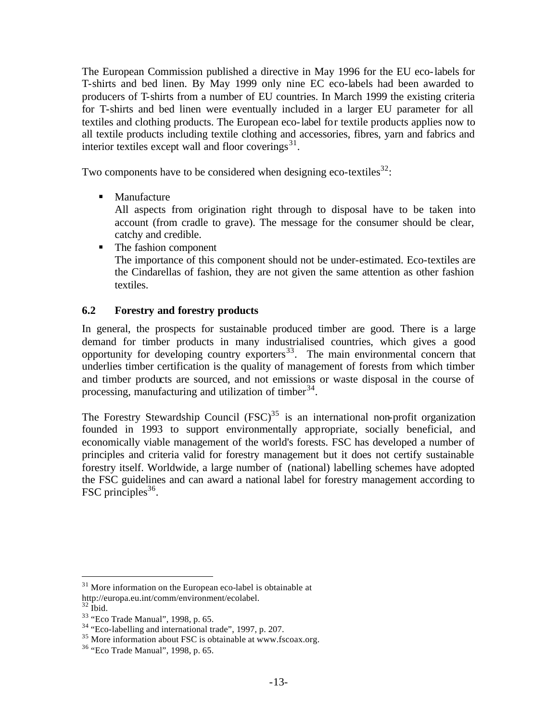The European Commission published a directive in May 1996 for the EU eco-labels for T-shirts and bed linen. By May 1999 only nine EC eco-labels had been awarded to producers of T-shirts from a number of EU countries. In March 1999 the existing criteria for T-shirts and bed linen were eventually included in a larger EU parameter for all textiles and clothing products. The European eco-label for textile products applies now to all textile products including textile clothing and accessories, fibres, yarn and fabrics and interior textiles except wall and floor coverings $31$ .

Two components have to be considered when designing eco-textiles  $32$ .

 $\blacksquare$  Manufacture

All aspects from origination right through to disposal have to be taken into account (from cradle to grave). The message for the consumer should be clear, catchy and credible.

■ The fashion component The importance of this component should not be under-estimated. Eco-textiles are the Cindarellas of fashion, they are not given the same attention as other fashion textiles.

#### **6.2 Forestry and forestry products**

In general, the prospects for sustainable produced timber are good. There is a large demand for timber products in many industrialised countries, which gives a good opportunity for developing country exporters $33$ . The main environmental concern that underlies timber certification is the quality of management of forests from which timber and timber products are sourced, and not emissions or waste disposal in the course of processing, manufacturing and utilization of timber  $34$ .

The Forestry Stewardship Council  $(FSC)^{35}$  is an international non-profit organization founded in 1993 to support environmentally appropriate, socially beneficial, and economically viable management of the world's forests. FSC has developed a number of principles and criteria valid for forestry management but it does not certify sustainable forestry itself. Worldwide, a large number of (national) labelling schemes have adopted the FSC guidelines and can award a national label for forestry management according to FSC principles<sup>36</sup>.

<sup>&</sup>lt;sup>31</sup> More information on the European eco-label is obtainable at http://europa.eu.int/comm/environment/ecolabel.

 $32$  Ibid.

<sup>33</sup> "Eco Trade Manual", 1998, p. 65.

<sup>34</sup> "Eco-labelling and international trade", 1997, p. 207.

<sup>&</sup>lt;sup>35</sup> More information about FSC is obtainable at www.fscoax.org.

<sup>36</sup> "Eco Trade Manual", 1998, p. 65.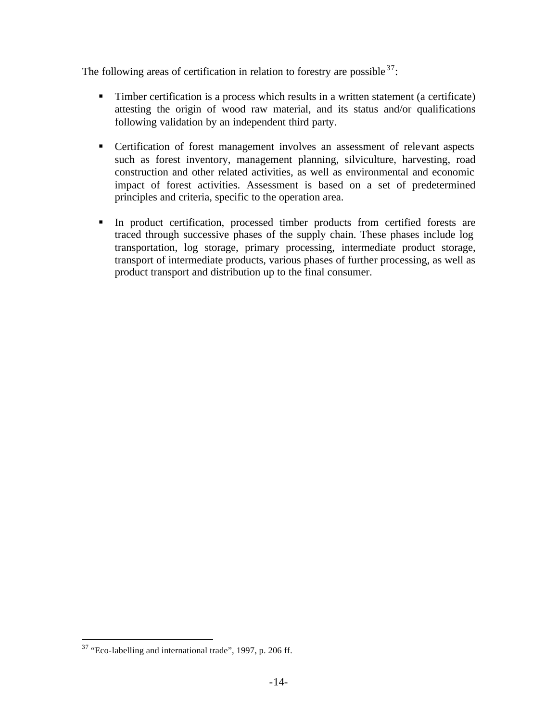The following areas of certification in relation to forestry are possible  $37$ .

- Timber certification is a process which results in a written statement (a certificate) attesting the origin of wood raw material, and its status and/or qualifications following validation by an independent third party.
- **•** Certification of forest management involves an assessment of relevant aspects such as forest inventory, management planning, silviculture, harvesting, road construction and other related activities, as well as environmental and economic impact of forest activities. Assessment is based on a set of predetermined principles and criteria, specific to the operation area.
- In product certification, processed timber products from certified forests are traced through successive phases of the supply chain. These phases include log transportation, log storage, primary processing, intermediate product storage, transport of intermediate products, various phases of further processing, as well as product transport and distribution up to the final consumer.

 $37$  "Eco-labelling and international trade", 1997, p. 206 ff.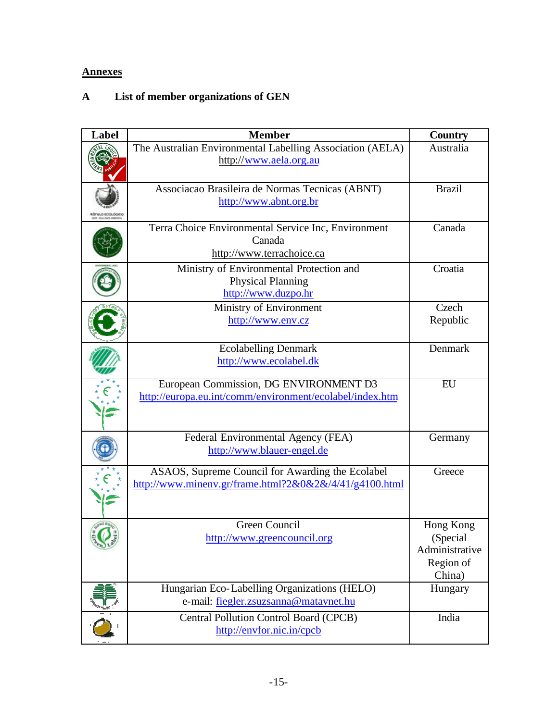#### **Annexes**

#### **A List of member organizations of GEN**

| Label | <b>Member</b>                                                                                              | <b>Country</b>                                                 |
|-------|------------------------------------------------------------------------------------------------------------|----------------------------------------------------------------|
|       | The Australian Environmental Labelling Association (AELA)<br>http://www.aela.org.au                        | Australia                                                      |
|       | Associacao Brasileira de Normas Tecnicas (ABNT)<br>http://www.abnt.org.br                                  | <b>Brazil</b>                                                  |
|       | Terra Choice Environmental Service Inc, Environment<br>Canada<br>http://www.terrachoice.ca                 | Canada                                                         |
|       | Ministry of Environmental Protection and<br><b>Physical Planning</b><br>http://www.duzpo.hr                | Croatia                                                        |
|       | Ministry of Environment<br>http://www.env.cz                                                               | Czech<br>Republic                                              |
|       | <b>Ecolabelling Denmark</b><br>http://www.ecolabel.dk                                                      | Denmark                                                        |
|       | European Commission, DG ENVIRONMENT D3<br>http://europa.eu.int/comm/environment/ecolabel/index.htm         | EU                                                             |
|       | Federal Environmental Agency (FEA)<br>http://www.blauer-engel.de                                           | Germany                                                        |
|       | ASAOS, Supreme Council for Awarding the Ecolabel<br>http://www.minenv.gr/frame.html?2&0&2&/4/41/g4100.html | Greece                                                         |
|       | Green Council<br>http://www.greencouncil.org                                                               | Hong Kong<br>(Special<br>Administrative<br>Region of<br>China) |
|       | Hungarian Eco-Labelling Organizations (HELO)<br>e-mail: fiegler.zsuzsanna@matavnet.hu                      | Hungary                                                        |
|       | <b>Central Pollution Control Board (CPCB)</b><br>http://envfor.nic.in/cpcb                                 | India                                                          |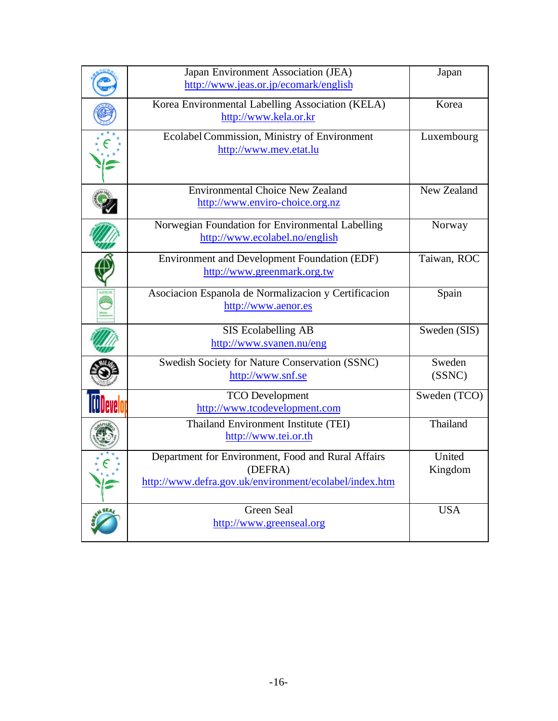| Japan Environment Association (JEA)<br>http://www.jeas.or.jp/ecomark/english                                            | Japan             |
|-------------------------------------------------------------------------------------------------------------------------|-------------------|
| Korea Environmental Labelling Association (KELA)<br>http://www.kela.or.kr                                               | Korea             |
| Ecolabel Commission, Ministry of Environment<br>http://www.mev.etat.lu                                                  | Luxembourg        |
| <b>Environmental Choice New Zealand</b><br>http://www.enviro-choice.org.nz                                              | New Zealand       |
| Norwegian Foundation for Environmental Labelling<br>http://www.ecolabel.no/english                                      | Norway            |
| <b>Environment and Development Foundation (EDF)</b><br>http://www.greenmark.org.tw                                      | Taiwan, ROC       |
| Asociacion Espanola de Normalizacion y Certificacion<br>http://www.aenor.es                                             | Spain             |
| SIS Ecolabelling AB<br>http://www.svanen.nu/eng                                                                         | Sweden (SIS)      |
| Swedish Society for Nature Conservation (SSNC)<br>http://www.snf.se                                                     | Sweden<br>(SSNC)  |
| <b>TCO</b> Development<br>http://www.tcodevelopment.com                                                                 | Sweden (TCO)      |
| Thailand Environment Institute (TEI)<br>http://www.tei.or.th                                                            | Thailand          |
| Department for Environment, Food and Rural Affairs<br>(DEFRA)<br>http://www.defra.gov.uk/environment/ecolabel/index.htm | United<br>Kingdom |
| <b>Green Seal</b><br>http://www.greenseal.org                                                                           | <b>USA</b>        |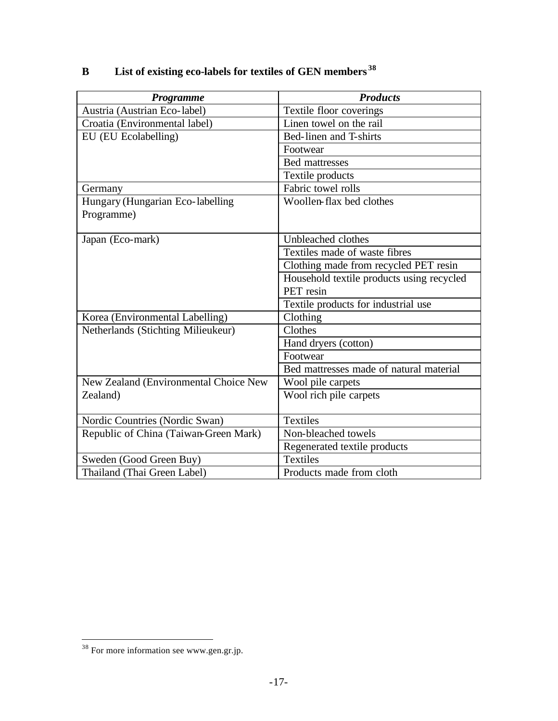| Programme                             | <b>Products</b>                           |
|---------------------------------------|-------------------------------------------|
| Austria (Austrian Eco-label)          | Textile floor coverings                   |
| Croatia (Environmental label)         | Linen towel on the rail                   |
| EU (EU Ecolabelling)                  | Bed-linen and T-shirts                    |
|                                       | Footwear                                  |
|                                       | <b>Bed mattresses</b>                     |
|                                       | Textile products                          |
| Germany                               | Fabric towel rolls                        |
| Hungary (Hungarian Eco-labelling      | Woollen-flax bed clothes                  |
| Programme)                            |                                           |
| Japan (Eco-mark)                      | Unbleached clothes                        |
|                                       | Textiles made of waste fibres             |
|                                       | Clothing made from recycled PET resin     |
|                                       | Household textile products using recycled |
|                                       | PET resin                                 |
|                                       | Textile products for industrial use       |
| Korea (Environmental Labelling)       | Clothing                                  |
| Netherlands (Stichting Milieukeur)    | Clothes                                   |
|                                       | Hand dryers (cotton)                      |
|                                       | Footwear                                  |
|                                       | Bed mattresses made of natural material   |
| New Zealand (Environmental Choice New | Wool pile carpets                         |
| Zealand)                              | Wool rich pile carpets                    |
| Nordic Countries (Nordic Swan)        | <b>Textiles</b>                           |
| Republic of China (Taiwan-Green Mark) | Non-bleached towels                       |
|                                       | Regenerated textile products              |
| Sweden (Good Green Buy)               | <b>Textiles</b>                           |
| Thailand (Thai Green Label)           | Products made from cloth                  |

#### **B List of existing eco-labels for textiles of GEN members <sup>38</sup>**

 $\overline{\phantom{a}}$ 

 $38$  For more information see www.gen.gr.jp.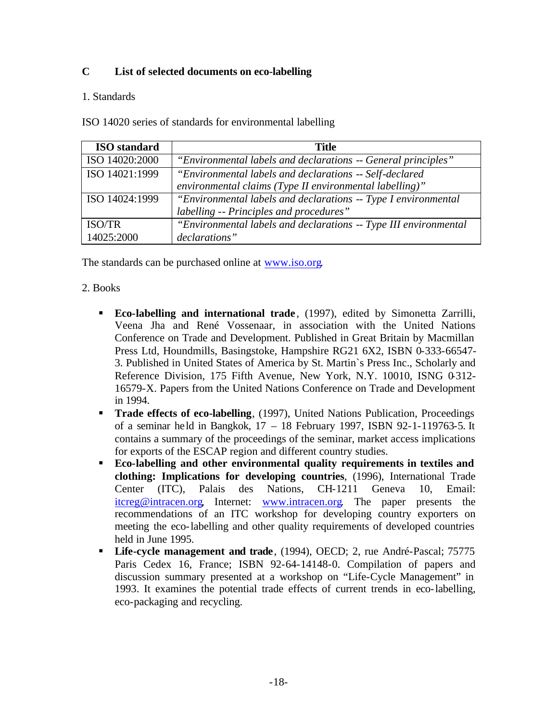#### **C List of selected documents on eco-labelling**

#### 1. Standards

ISO 14020 series of standards for environmental labelling

| <b>ISO</b> standard | <b>Title</b>                                                     |
|---------------------|------------------------------------------------------------------|
| ISO 14020:2000      | "Environmental labels and declarations -- General principles"    |
| ISO 14021:1999      | "Environmental labels and declarations -- Self-declared          |
|                     | environmental claims (Type II environmental labelling)"          |
| ISO 14024:1999      | "Environmental labels and declarations -- Type I environmental   |
|                     | labelling -- Principles and procedures"                          |
| <b>ISO/TR</b>       | "Environmental labels and declarations -- Type III environmental |
| 14025:2000          | declarations"                                                    |

The standards can be purchased online at www.iso.org.

#### 2. Books

- ß **Eco-labelling and international trade** , (1997), edited by Simonetta Zarrilli, Veena Jha and René Vossenaar, in association with the United Nations Conference on Trade and Development. Published in Great Britain by Macmillan Press Ltd, Houndmills, Basingstoke, Hampshire RG21 6X2, ISBN 0-333-66547- 3. Published in United States of America by St. Martin`s Press Inc., Scholarly and Reference Division, 175 Fifth Avenue, New York, N.Y. 10010, ISNG 0-312-16579-X. Papers from the United Nations Conference on Trade and Development in 1994.
- **Trade effects of eco-labelling**, (1997), United Nations Publication, Proceedings of a seminar held in Bangkok, 17 – 18 February 1997, ISBN 92-1-119763-5. It contains a summary of the proceedings of the seminar, market access implications for exports of the ESCAP region and different country studies.
- ß **Eco-labelling and other environmental quality requirements in textiles and clothing: Implications for developing countries**, (1996), International Trade Center (ITC), Palais des Nations, CH-1211 Geneva 10, Email: itcreg@intracen.org, Internet: www.intracen.org. The paper presents the recommendations of an ITC workshop for developing country exporters on meeting the eco-labelling and other quality requirements of developed countries held in June 1995.
- **Life-cycle management and trade**, (1994), OECD; 2, rue André-Pascal; 75775 Paris Cedex 16, France; ISBN 92-64-14148-0. Compilation of papers and discussion summary presented at a workshop on "Life-Cycle Management" in 1993. It examines the potential trade effects of current trends in eco-labelling, eco-packaging and recycling.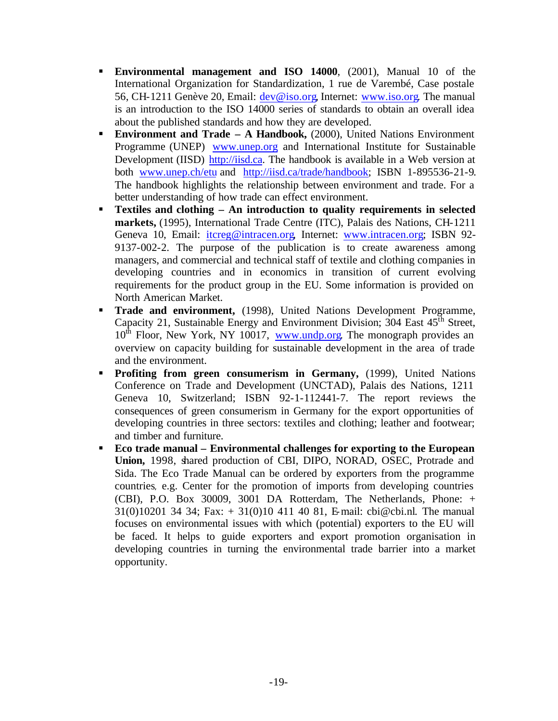- **Environmental management and ISO 14000**, (2001), Manual 10 of the International Organization for Standardization, 1 rue de Varembé, Case postale 56, CH-1211 Genève 20, Email: dev@iso.org, Internet: www.iso.org. The manual is an introduction to the ISO 14000 series of standards to obtain an overall idea about the published standards and how they are developed.
- **Environment and Trade A Handbook,** (2000), United Nations Environment Programme (UNEP) www.unep.org and International Institute for Sustainable Development (IISD) http://iisd.ca. The handbook is available in a Web version at both www.unep.ch/etu and http://iisd.ca/trade/handbook; ISBN 1-895536-21-9. The handbook highlights the relationship between environment and trade. For a better understanding of how trade can effect environment.
- ß **Textiles and clothing An introduction to quality requirements in selected markets,** (1995), International Trade Centre (ITC), Palais des Nations, CH-1211 Geneva 10, Email: itcreg@intracen.org, Internet: www.intracen.org; ISBN 92-9137-002-2. The purpose of the publication is to create awareness among managers, and commercial and technical staff of textile and clothing companies in developing countries and in economics in transition of current evolving requirements for the product group in the EU. Some information is provided on North American Market.
- ß **Trade and environment,** (1998), United Nations Development Programme, Capacity 21, Sustainable Energy and Environment Division;  $304$  East  $45<sup>th</sup>$  Street,  $10<sup>th</sup>$  Floor, New York, NY 10017, www.undp.org. The monograph provides an overview on capacity building for sustainable development in the area of trade and the environment.
- **Profiting from green consumerism in Germany,** (1999), United Nations Conference on Trade and Development (UNCTAD), Palais des Nations, 1211 Geneva 10, Switzerland; ISBN 92-1-112441-7. The report reviews the consequences of green consumerism in Germany for the export opportunities of developing countries in three sectors: textiles and clothing; leather and footwear; and timber and furniture.
- ß **Eco trade manual Environmental challenges for exporting to the European**  Union, 1998, shared production of CBI, DIPO, NORAD, OSEC, Protrade and Sida. The Eco Trade Manual can be ordered by exporters from the programme countries, e.g. Center for the promotion of imports from developing countries (CBI), P.O. Box 30009, 3001 DA Rotterdam, The Netherlands, Phone: +  $31(0)10201$  34 34; Fax:  $+ 31(0)10$  411 40 81, E-mail: cbi@cbi.nl. The manual focuses on environmental issues with which (potential) exporters to the EU will be faced. It helps to guide exporters and export promotion organisation in developing countries in turning the environmental trade barrier into a market opportunity.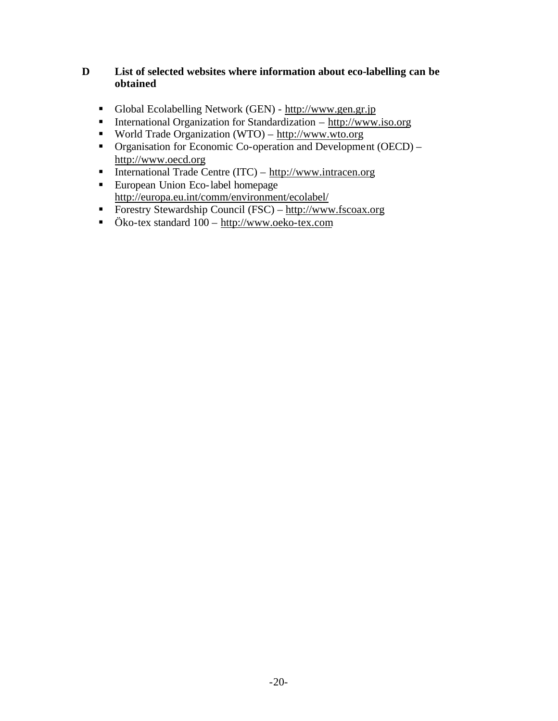#### **D List of selected websites where information about eco-labelling can be obtained**

- Global Ecolabelling Network (GEN) http://www.gen.gr.jp
- **International Organization for Standardization http://www.iso.org**
- World Trade Organization (WTO) http://www.wto.org
- Organisation for Economic Co-operation and Development (OECD) http://www.oecd.org
- **International Trade Centre (ITC)**  $\frac{http://www.intracen.org}{http://www.intracen.org}$
- European Union Eco-label homepage http://europa.eu.int/comm/environment/ecolabel/
- Forestry Stewardship Council (FSC) http://www.fscoax.org
- Öko-tex standard 100 http://www.oeko-tex.com